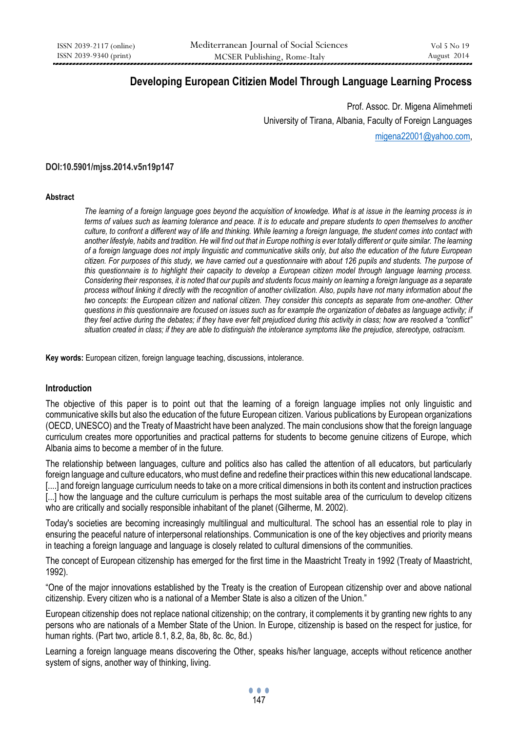## **Developing European Citizien Model Through Language Learning Process**

Prof. Assoc. Dr. Migena Alimehmeti University of Tirana, Albania, Faculty of Foreign Languages [migena22001@yahoo.com,](mailto:migena22001@yahoo.com)

### **DOI:10.5901/mjss.2014.v5n19p147**

#### **Abstract**

*The learning of a foreign language goes beyond the acquisition of knowledge. What is at issue in the learning process is in terms of values such as learning tolerance and peace. It is to educate and prepare students to open themselves to another culture, to confront a different way of life and thinking. While learning a foreign language, the student comes into contact with another lifestyle, habits and tradition. He will find out that in Europe nothing is ever totally different or quite similar. The learning of a foreign language does not imply linguistic and communicative skills only, but also the education of the future European citizen. For purposes of this study, we have carried out a questionnaire with about 126 pupils and students. The purpose of this questionnaire is to highlight their capacity to develop a European citizen model through language learning process. Considering their responses, it is noted that our pupils and students focus mainly on learning a foreign language as a separate process without linking it directly with the recognition of another civilization. Also, pupils have not many information about the two concepts: the European citizen and national citizen. They consider this concepts as separate from one-another. Other questions in this questionnaire are focused on issues such as for example the organization of debates as language activity; if they feel active during the debates; if they have ever felt prejudiced during this activity in class; how are resolved a "conflict" situation created in class; if they are able to distinguish the intolerance symptoms like the prejudice, stereotype, ostracism.*

**Key words:** European citizen, foreign language teaching, discussions, intolerance.

### **Introduction**

The objective of this paper is to point out that the learning of a foreign language implies not only linguistic and communicative skills but also the education of the future European citizen. Various publications by European organizations (OECD, UNESCO) and the Treaty of Maastricht have been analyzed. The main conclusions show that the foreign language curriculum creates more opportunities and practical patterns for students to become genuine citizens of Europe, which Albania aims to become a member of in the future.

The relationship between languages, culture and politics also has called the attention of all educators, but particularly foreign language and culture educators, who must define and redefine their practices within this new educational landscape. [....] and foreign language curriculum needs to take on a more critical dimensions in both its content and instruction practices [...] how the language and the culture curriculum is perhaps the most suitable area of the curriculum to develop citizens who are critically and socially responsible inhabitant of the planet (Gilherme, M. 2002).

Today's societies are becoming increasingly multilingual and multicultural. The school has an essential role to play in ensuring the peaceful nature of interpersonal relationships. Communication is one of the key objectives and priority means in teaching a foreign language and language is closely related to cultural dimensions of the communities.

The concept of European citizenship has emerged for the first time in the Maastricht Treaty in 1992 (Treaty of Maastricht, 1992).

"One of the major innovations established by the Treaty is the creation of European citizenship over and above national citizenship. Every citizen who is a national of a Member State is also a citizen of the Union."

European citizenship does not replace national citizenship; on the contrary, it complements it by granting new rights to any persons who are nationals of a Member State of the Union. In Europe, citizenship is based on the respect for justice, for human rights. (Part two, article 8.1, 8.2, 8a, 8b, 8c. 8c, 8d.)

Learning a foreign language means discovering the Other, speaks his/her language, accepts without reticence another system of signs, another way of thinking, living.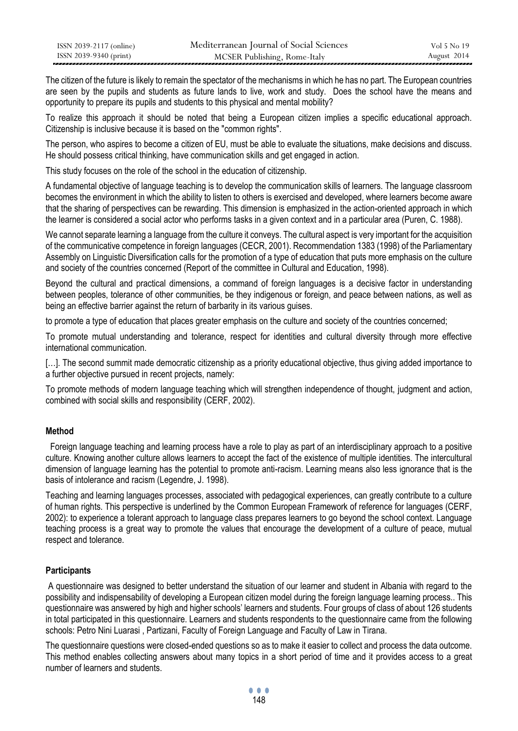| ISSN 2039-2117 (online) | Mediterranean Journal of Social Sciences | Vol 5 No 19 |
|-------------------------|------------------------------------------|-------------|
| ISSN 2039-9340 (print)  | MCSER Publishing, Rome-Italy             | August 2014 |

The citizen of the future is likely to remain the spectator of the mechanisms in which he has no part. The European countries are seen by the pupils and students as future lands to live, work and study. Does the school have the means and opportunity to prepare its pupils and students to this physical and mental mobility?

To realize this approach it should be noted that being a European citizen implies a specific educational approach. Citizenship is inclusive because it is based on the "common rights".

The person, who aspires to become a citizen of EU, must be able to evaluate the situations, make decisions and discuss. He should possess critical thinking, have communication skills and get engaged in action.

This study focuses on the role of the school in the education of citizenship.

A fundamental objective of language teaching is to develop the communication skills of learners. The language classroom becomes the environment in which the ability to listen to others is exercised and developed, where learners become aware that the sharing of perspectives can be rewarding. This dimension is emphasized in the action-oriented approach in which the learner is considered a social actor who performs tasks in a given context and in a particular area (Puren, C. 1988).

We cannot separate learning a language from the culture it conveys. The cultural aspect is very important for the acquisition of the communicative competence in foreign languages (CECR, 2001). Recommendation 1383 (1998) of the Parliamentary Assembly on Linguistic Diversification calls for the promotion of a type of education that puts more emphasis on the culture and society of the countries concerned (Report of the committee in Cultural and Education, 1998).

Beyond the cultural and practical dimensions, a command of foreign languages is a decisive factor in understanding between peoples, tolerance of other communities, be they indigenous or foreign, and peace between nations, as well as being an effective barrier against the return of barbarity in its various guises.

to promote a type of education that places greater emphasis on the culture and society of the countries concerned;

To promote mutual understanding and tolerance, respect for identities and cultural diversity through more effective international communication.

[...]. The second summit made democratic citizenship as a priority educational objective, thus giving added importance to a further objective pursued in recent projects, namely:

To promote methods of modern language teaching which will strengthen independence of thought, judgment and action, combined with social skills and responsibility (CERF, 2002).

## **Method**

 Foreign language teaching and learning process have a role to play as part of an interdisciplinary approach to a positive culture. Knowing another culture allows learners to accept the fact of the existence of multiple identities. The intercultural dimension of language learning has the potential to promote anti-racism. Learning means also less ignorance that is the basis of intolerance and racism (Legendre, J. 1998).

Teaching and learning languages processes, associated with pedagogical experiences, can greatly contribute to a culture of human rights. This perspective is underlined by the Common European Framework of reference for languages (CERF, 2002): to experience a tolerant approach to language class prepares learners to go beyond the school context. Language teaching process is a great way to promote the values that encourage the development of a culture of peace, mutual respect and tolerance.

## **Participants**

A questionnaire was designed to better understand the situation of our learner and student in Albania with regard to the possibility and indispensability of developing a European citizen model during the foreign language learning process.. This questionnaire was answered by high and higher schools' learners and students. Four groups of class of about 126 students in total participated in this questionnaire. Learners and students respondents to the questionnaire came from the following schools: Petro Nini Luarasi , Partizani, Faculty of Foreign Language and Faculty of Law in Tirana.

The questionnaire questions were closed-ended questions so as to make it easier to collect and process the data outcome. This method enables collecting answers about many topics in a short period of time and it provides access to a great number of learners and students.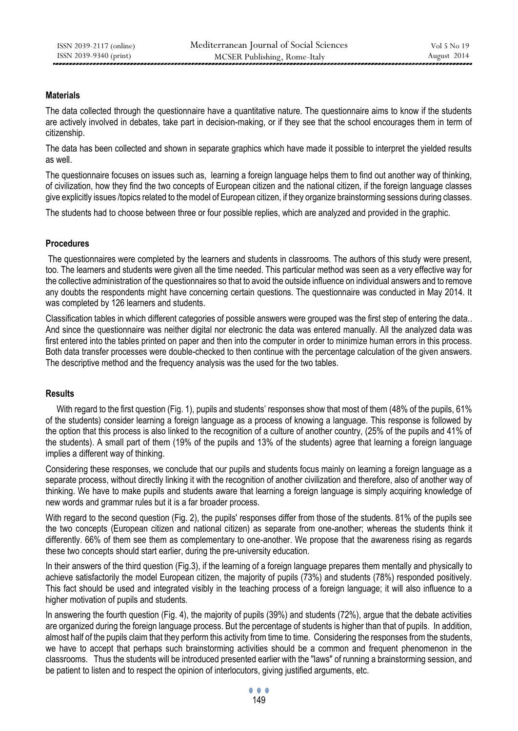## **Materials**

The data collected through the questionnaire have a quantitative nature. The questionnaire aims to know if the students are actively involved in debates, take part in decision-making, or if they see that the school encourages them in term of citizenship.

The data has been collected and shown in separate graphics which have made it possible to interpret the yielded results as well.

The questionnaire focuses on issues such as, learning a foreign language helps them to find out another way of thinking, of civilization, how they find the two concepts of European citizen and the national citizen, if the foreign language classes give explicitly issues /topics related to the model of European citizen, if they organize brainstorming sessions during classes.

The students had to choose between three or four possible replies, which are analyzed and provided in the graphic.

## **Procedures**

The questionnaires were completed by the learners and students in classrooms. The authors of this study were present, too. The learners and students were given all the time needed. This particular method was seen as a very effective way for the collective administration of the questionnaires so that to avoid the outside influence on individual answers and to remove any doubts the respondents might have concerning certain questions. The questionnaire was conducted in May 2014. It was completed by 126 learners and students.

Classification tables in which different categories of possible answers were grouped was the first step of entering the data.. And since the questionnaire was neither digital nor electronic the data was entered manually. All the analyzed data was first entered into the tables printed on paper and then into the computer in order to minimize human errors in this process. Both data transfer processes were double-checked to then continue with the percentage calculation of the given answers. The descriptive method and the frequency analysis was the used for the two tables.

## **Results**

With regard to the first question (Fig. 1), pupils and students' responses show that most of them (48% of the pupils, 61% of the students) consider learning a foreign language as a process of knowing a language. This response is followed by the option that this process is also linked to the recognition of a culture of another country, (25% of the pupils and 41% of the students). A small part of them (19% of the pupils and 13% of the students) agree that learning a foreign language implies a different way of thinking.

Considering these responses, we conclude that our pupils and students focus mainly on learning a foreign language as a separate process, without directly linking it with the recognition of another civilization and therefore, also of another way of thinking. We have to make pupils and students aware that learning a foreign language is simply acquiring knowledge of new words and grammar rules but it is a far broader process.

With regard to the second question (Fig. 2), the pupils' responses differ from those of the students. 81% of the pupils see the two concepts (European citizen and national citizen) as separate from one-another; whereas the students think it differently. 66% of them see them as complementary to one-another. We propose that the awareness rising as regards these two concepts should start earlier, during the pre-university education.

In their answers of the third question (Fig.3), if the learning of a foreign language prepares them mentally and physically to achieve satisfactorily the model European citizen, the majority of pupils (73%) and students (78%) responded positively. This fact should be used and integrated visibly in the teaching process of a foreign language; it will also influence to a higher motivation of pupils and students.

In answering the fourth question (Fig. 4), the majority of pupils (39%) and students (72%), argue that the debate activities are organized during the foreign language process. But the percentage of students is higher than that of pupils. In addition, almost half of the pupils claim that they perform this activity from time to time. Considering the responses from the students, we have to accept that perhaps such brainstorming activities should be a common and frequent phenomenon in the classrooms. Thus the students will be introduced presented earlier with the "laws" of running a brainstorming session, and be patient to listen and to respect the opinion of interlocutors, giving justified arguments, etc.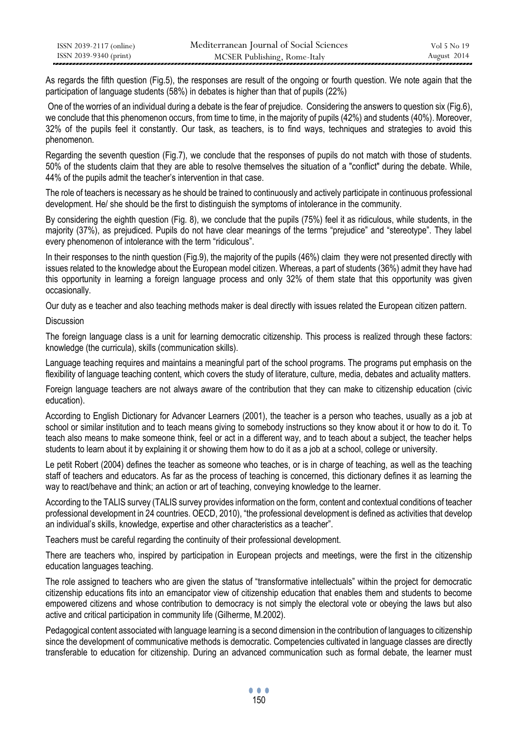| ISSN 2039-2117 (online) | Mediterranean Journal of Social Sciences | Vol 5 No 19 |
|-------------------------|------------------------------------------|-------------|
| ISSN 2039-9340 (print)  | MCSER Publishing, Rome-Italy             | August 2014 |

As regards the fifth question (Fig.5), the responses are result of the ongoing or fourth question. We note again that the participation of language students (58%) in debates is higher than that of pupils (22%)

One of the worries of an individual during a debate is the fear of prejudice. Considering the answers to question six (Fig.6), we conclude that this phenomenon occurs, from time to time, in the majority of pupils (42%) and students (40%). Moreover, 32% of the pupils feel it constantly. Our task, as teachers, is to find ways, techniques and strategies to avoid this phenomenon.

Regarding the seventh question (Fig.7), we conclude that the responses of pupils do not match with those of students. 50% of the students claim that they are able to resolve themselves the situation of a "conflict" during the debate. While, 44% of the pupils admit the teacher's intervention in that case.

The role of teachers is necessary as he should be trained to continuously and actively participate in continuous professional development. He/ she should be the first to distinguish the symptoms of intolerance in the community.

By considering the eighth question (Fig. 8), we conclude that the pupils (75%) feel it as ridiculous, while students, in the majority (37%), as prejudiced. Pupils do not have clear meanings of the terms "prejudice" and "stereotype". They label every phenomenon of intolerance with the term "ridiculous".

In their responses to the ninth question (Fig.9), the majority of the pupils (46%) claim they were not presented directly with issues related to the knowledge about the European model citizen. Whereas, a part of students (36%) admit they have had this opportunity in learning a foreign language process and only 32% of them state that this opportunity was given occasionally.

Our duty as e teacher and also teaching methods maker is deal directly with issues related the European citizen pattern.

Discussion

The foreign language class is a unit for learning democratic citizenship. This process is realized through these factors: knowledge (the curricula), skills (communication skills).

Language teaching requires and maintains a meaningful part of the school programs. The programs put emphasis on the flexibility of language teaching content, which covers the study of literature, culture, media, debates and actuality matters.

Foreign language teachers are not always aware of the contribution that they can make to citizenship education (civic education).

According to English Dictionary for Advancer Learners (2001), the teacher is a person who teaches, usually as a job at school or similar institution and to teach means giving to somebody instructions so they know about it or how to do it. To teach also means to make someone think, feel or act in a different way, and to teach about a subject, the teacher helps students to learn about it by explaining it or showing them how to do it as a job at a school, college or university.

Le petit Robert (2004) defines the teacher as someone who teaches, or is in charge of teaching, as well as the teaching staff of teachers and educators. As far as the process of teaching is concerned, this dictionary defines it as learning the way to react/behave and think; an action or art of teaching, conveying knowledge to the learner.

According to the TALIS survey (TALIS survey provides information on the form, content and contextual conditions of teacher professional development in 24 countries. OECD, 2010), "the professional development is defined as activities that develop an individual's skills, knowledge, expertise and other characteristics as a teacher".

Teachers must be careful regarding the continuity of their professional development.

There are teachers who, inspired by participation in European projects and meetings, were the first in the citizenship education languages teaching.

The role assigned to teachers who are given the status of "transformative intellectuals" within the project for democratic citizenship educations fits into an emancipator view of citizenship education that enables them and students to become empowered citizens and whose contribution to democracy is not simply the electoral vote or obeying the laws but also active and critical participation in community life (Gilherme, M.2002).

Pedagogical content associated with language learning is a second dimension in the contribution of languages to citizenship since the development of communicative methods is democratic. Competencies cultivated in language classes are directly transferable to education for citizenship. During an advanced communication such as formal debate, the learner must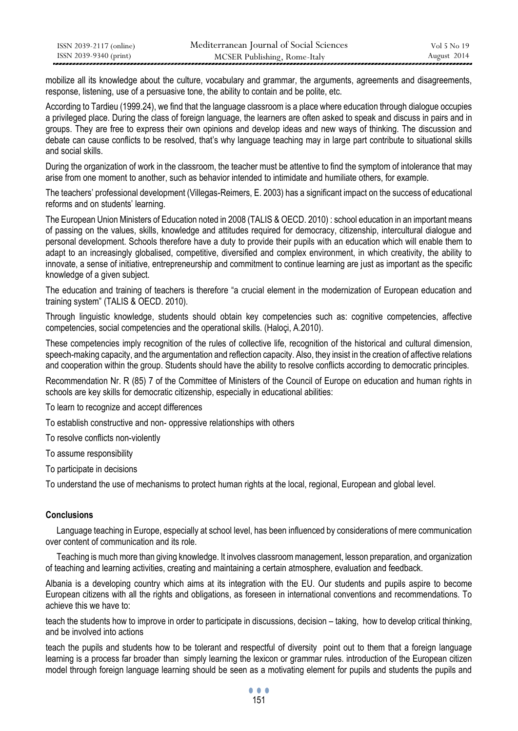| ISSN 2039-2117 (online) | Mediterranean Journal of Social Sciences | Vol 5 No 19 |
|-------------------------|------------------------------------------|-------------|
| ISSN 2039-9340 (print)  | MCSER Publishing, Rome-Italy             | August 2014 |

mobilize all its knowledge about the culture, vocabulary and grammar, the arguments, agreements and disagreements, response, listening, use of a persuasive tone, the ability to contain and be polite, etc.

According to Tardieu (1999.24), we find that the language classroom is a place where education through dialogue occupies a privileged place. During the class of foreign language, the learners are often asked to speak and discuss in pairs and in groups. They are free to express their own opinions and develop ideas and new ways of thinking. The discussion and debate can cause conflicts to be resolved, that's why language teaching may in large part contribute to situational skills and social skills.

During the organization of work in the classroom, the teacher must be attentive to find the symptom of intolerance that may arise from one moment to another, such as behavior intended to intimidate and humiliate others, for example.

The teachers' professional development (Villegas-Reimers, E. 2003) has a significant impact on the success of educational reforms and on students' learning.

The European Union Ministers of Education noted in 2008 (TALIS & OECD. 2010) : school education in an important means of passing on the values, skills, knowledge and attitudes required for democracy, citizenship, intercultural dialogue and personal development. Schools therefore have a duty to provide their pupils with an education which will enable them to adapt to an increasingly globalised, competitive, diversified and complex environment, in which creativity, the ability to innovate, a sense of initiative, entrepreneurship and commitment to continue learning are just as important as the specific knowledge of a given subject.

The education and training of teachers is therefore "a crucial element in the modernization of European education and training system" (TALIS & OECD. 2010).

Through linguistic knowledge, students should obtain key competencies such as: cognitive competencies, affective competencies, social competencies and the operational skills. (Haloçi, A.2010).

These competencies imply recognition of the rules of collective life, recognition of the historical and cultural dimension, speech-making capacity, and the argumentation and reflection capacity. Also, they insist in the creation of affective relations and cooperation within the group. Students should have the ability to resolve conflicts according to democratic principles.

Recommendation Nr. R (85) 7 of the Committee of Ministers of the Council of Europe on education and human rights in schools are key skills for democratic citizenship, especially in educational abilities:

To learn to recognize and accept differences

To establish constructive and non- oppressive relationships with others

To resolve conflicts non-violently

To assume responsibility

To participate in decisions

To understand the use of mechanisms to protect human rights at the local, regional, European and global level.

## **Conclusions**

 Language teaching in Europe, especially at school level, has been influenced by considerations of mere communication over content of communication and its role.

 Teaching is much more than giving knowledge. It involves classroom management, lesson preparation, and organization of teaching and learning activities, creating and maintaining a certain atmosphere, evaluation and feedback.

Albania is a developing country which aims at its integration with the EU. Our students and pupils aspire to become European citizens with all the rights and obligations, as foreseen in international conventions and recommendations. To achieve this we have to:

teach the students how to improve in order to participate in discussions, decision – taking, how to develop critical thinking, and be involved into actions

teach the pupils and students how to be tolerant and respectful of diversity point out to them that a foreign language learning is a process far broader than simply learning the lexicon or grammar rules. introduction of the European citizen model through foreign language learning should be seen as a motivating element for pupils and students the pupils and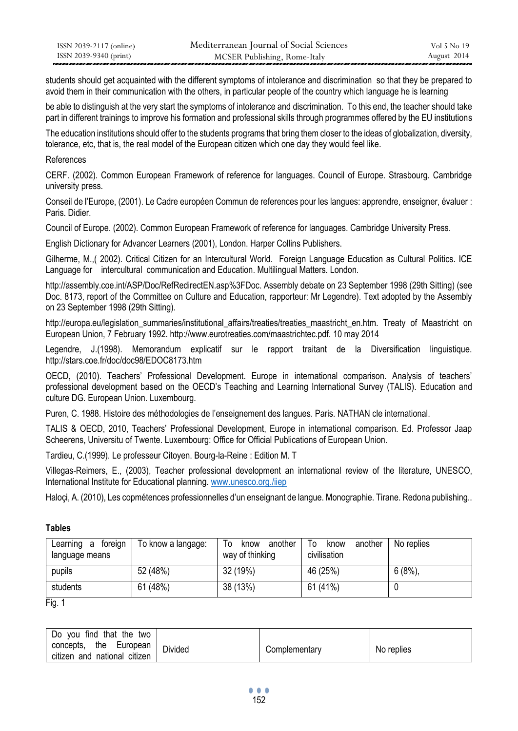| ISSN 2039-2117 (online) | Mediterranean Journal of Social Sciences | Vol 5 No 19 |
|-------------------------|------------------------------------------|-------------|
| ISSN 2039-9340 (print)  | MCSER Publishing, Rome-Italy             | August 2014 |

students should get acquainted with the different symptoms of intolerance and discrimination so that they be prepared to avoid them in their communication with the others, in particular people of the country which language he is learning

be able to distinguish at the very start the symptoms of intolerance and discrimination. To this end, the teacher should take part in different trainings to improve his formation and professional skills through programmes offered by the EU institutions

The education institutions should offer to the students programs that bring them closer to the ideas of globalization, diversity, tolerance, etc, that is, the real model of the European citizen which one day they would feel like.

## References

CERF. (2002). Common European Framework of reference for languages. Council of Europe. Strasbourg. Cambridge university press.

Conseil de l'Europe, (2001). Le Cadre européen Commun de references pour les langues: apprendre, enseigner, évaluer : Paris. Didier.

Council of Europe. (2002). Common European Framework of reference for languages. Cambridge University Press.

English Dictionary for Advancer Learners (2001), London. Harper Collins Publishers.

Gilherme, M.,( 2002). Critical Citizen for an Intercultural World. Foreign Language Education as Cultural Politics. ICE Language for intercultural communication and Education. Multilingual Matters. London.

http://assembly.coe.int/ASP/Doc/RefRedirectEN.asp%3FDoc. Assembly debate on 23 September 1998 (29th Sitting) (see Doc. 8173, report of the Committee on Culture and Education, rapporteur: Mr Legendre). Text adopted by the Assembly on 23 September 1998 (29th Sitting).

http://europa.eu/legislation\_summaries/institutional\_affairs/treaties/treaties\_maastricht\_en.htm. Treaty of Maastricht on European Union, 7 February 1992. http://www.eurotreaties.com/maastrichtec.pdf. 10 may 2014

Legendre, J.(1998). Memorandum explicatif sur le rapport traitant de la Diversification linguistique. http://stars.coe.fr/doc/doc98/EDOC8173.htm

OECD, (2010). Teachers' Professional Development. Europe in international comparison. Analysis of teachers' professional development based on the OECD's Teaching and Learning International Survey (TALIS). Education and culture DG. European Union. Luxembourg.

Puren, C. 1988. Histoire des méthodologies de l'enseignement des langues. Paris. NATHAN cle international.

TALIS & OECD, 2010, Teachers' Professional Development, Europe in international comparison. Ed. Professor Jaap Scheerens, Universitu of Twente. Luxembourg: Office for Official Publications of European Union.

Tardieu, C.(1999). Le professeur Citoyen. Bourg-la-Reine : Edition M. T

Villegas-Reimers, E., (2003), Teacher professional development an international review of the literature, UNESCO, International Institute for Educational planning[. www.unesco.org./iiep](http://www.unesco.org./iiep)

Haloçi, A. (2010), Les copmétences professionnelles d'un enseignant de langue. Monographie. Tirane. Redona publishing..

## **Tables**

| foreign<br>Learning a<br>language means | To know a langage: | another<br>To<br>know<br>way of thinking | another<br>To<br>know<br>civilisation | No replies |
|-----------------------------------------|--------------------|------------------------------------------|---------------------------------------|------------|
| pupils                                  | 52 (48%)           | 32 (19%)                                 | 46 (25%)                              | 6(8%)      |
| students                                | 61 (48%)           | 38 (13%)                                 | 61 (41%)                              |            |

Fig. 1

| find that the two<br>Do<br>vou |         |               |            |
|--------------------------------|---------|---------------|------------|
| concepts.<br>the<br>Luropean   | Divided | Complementary | No replies |
| citizen and national citizen   |         |               |            |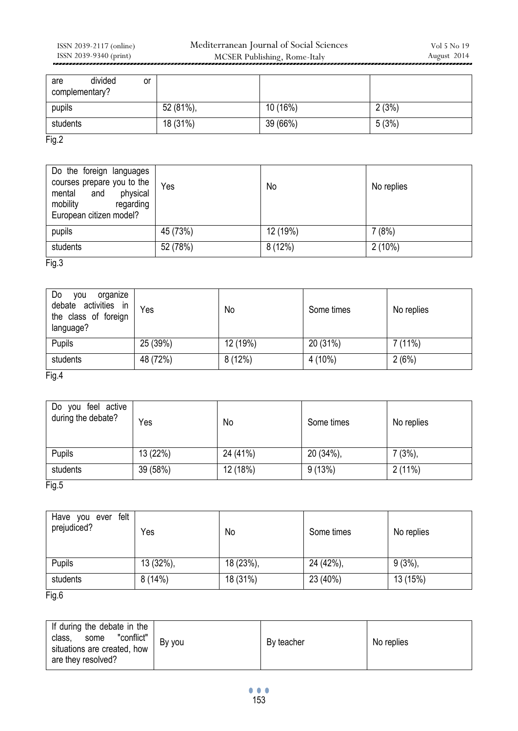| divided<br>are<br>or<br>complementary? |           |          |       |
|----------------------------------------|-----------|----------|-------|
| pupils                                 | 52 (81%), | 10 (16%) | 2(3%) |
| students                               | 18 (31%)  | 39 (66%) | 5(3%) |
| Fig.2                                  |           |          |       |

| Do the foreign languages<br>courses prepare you to the<br>mental and<br>physical<br>mobility<br>regarding<br>European citizen model? | Yes      | No       | No replies |
|--------------------------------------------------------------------------------------------------------------------------------------|----------|----------|------------|
| pupils                                                                                                                               | 45 (73%) | 12 (19%) | 7(8%)      |
| students                                                                                                                             | 52 (78%) | 8(12%)   | $2(10\%)$  |

# Fig.3

| Do<br>organize<br>vou<br>debate activities in<br>the class of foreign<br>language? | Yes      | No       | Some times | No replies |
|------------------------------------------------------------------------------------|----------|----------|------------|------------|
| Pupils                                                                             | 25 (39%) | 12 (19%) | 20 (31%)   | 7(11%)     |
| students                                                                           | 48 (72%) | 8(12%)   | 4 (10%)    | 2(6%)      |

Fig.4

| Do you feel active<br>during the debate? | Yes      | No       | Some times | No replies |
|------------------------------------------|----------|----------|------------|------------|
| Pupils                                   | 13 (22%) | 24 (41%) | 20 (34%),  | 7(3%)      |
| students<br>- -                          | 39 (58%) | 12 (18%) | 9(13%)     | 2(11%)     |

Fig.5

| felt<br>Have you ever<br>prejudiced? | Yes          | No        | Some times | No replies |
|--------------------------------------|--------------|-----------|------------|------------|
| Pupils                               | $13(32\%)$ , | 18 (23%), | 24 (42%),  | $9(3\%)$   |
| students<br>_ _ _                    | 8(14%)       | 18 (31%)  | 23 (40%)   | 13 (15%)   |

Fig.6